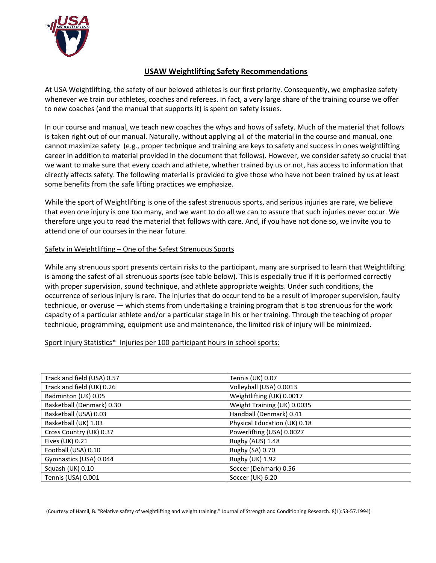

### **USAW Weightlifting Safety Recommendations**

At USA Weightlifting, the safety of our beloved athletes is our first priority. Consequently, we emphasize safety whenever we train our athletes, coaches and referees. In fact, a very large share of the training course we offer to new coaches (and the manual that supports it) is spent on safety issues.

In our course and manual, we teach new coaches the whys and hows of safety. Much of the material that follows is taken right out of our manual. Naturally, without applying all of the material in the course and manual, one cannot maximize safety (e.g., proper technique and training are keys to safety and success in ones weightlifting career in addition to material provided in the document that follows). However, we consider safety so crucial that we want to make sure that every coach and athlete, whether trained by us or not, has access to information that directly affects safety. The following material is provided to give those who have not been trained by us at least some benefits from the safe lifting practices we emphasize.

While the sport of Weightlifting is one of the safest strenuous sports, and serious injuries are rare, we believe that even one injury is one too many, and we want to do all we can to assure that such injuries never occur. We therefore urge you to read the material that follows with care. And, if you have not done so, we invite you to attend one of our courses in the near future.

#### Safety in Weightlifting – One of the Safest Strenuous Sports

While any strenuous sport presents certain risks to the participant, many are surprised to learn that Weightlifting is among the safest of all strenuous sports (see table below). This is especially true if it is performed correctly with proper supervision, sound technique, and athlete appropriate weights. Under such conditions, the occurrence of serious injury is rare. The injuries that do occur tend to be a result of improper supervision, faulty technique, or overuse — which stems from undertaking a training program that is too strenuous for the work capacity of a particular athlete and/or a particular stage in his or her training. Through the teaching of proper technique, programming, equipment use and maintenance, the limited risk of injury will be minimized.

#### Sport Injury Statistics\* Injuries per 100 participant hours in school sports:

| Track and field (USA) 0.57 | Tennis (UK) 0.07             |
|----------------------------|------------------------------|
| Track and field (UK) 0.26  | Volleyball (USA) 0.0013      |
| Badminton (UK) 0.05        | Weightlifting (UK) 0.0017    |
| Basketball (Denmark) 0.30  | Weight Training (UK) 0.0035  |
| Basketball (USA) 0.03      | Handball (Denmark) 0.41      |
| Basketball (UK) 1.03       | Physical Education (UK) 0.18 |
| Cross Country (UK) 0.37    | Powerlifting (USA) 0.0027    |
| Fives (UK) 0.21            | Rugby (AUS) 1.48             |
| Football (USA) 0.10        | Rugby (SA) 0.70              |
| Gymnastics (USA) 0.044     | Rugby (UK) 1.92              |
| Squash (UK) 0.10           | Soccer (Denmark) 0.56        |
| Tennis (USA) 0.001         | Soccer (UK) 6.20             |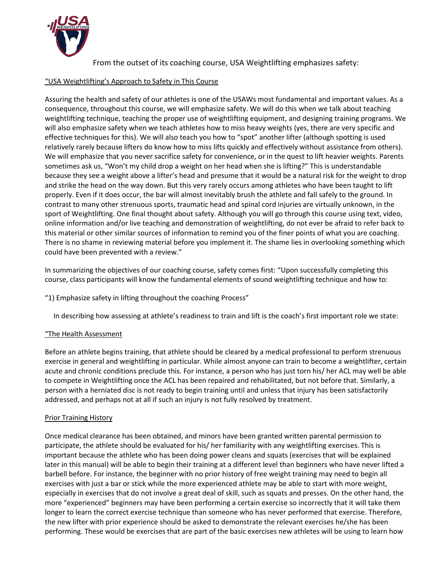

From the outset of its coaching course, USA Weightlifting emphasizes safety:

### "USA Weightlifting's Approach to Safety in This Course

Assuring the health and safety of our athletes is one of the USAWs most fundamental and important values. As a consequence, throughout this course, we will emphasize safety. We will do this when we talk about teaching weightlifting technique, teaching the proper use of weightlifting equipment, and designing training programs. We will also emphasize safety when we teach athletes how to miss heavy weights (yes, there are very specific and effective techniques for this). We will also teach you how to "spot" another lifter (although spotting is used relatively rarely because lifters do know how to miss lifts quickly and effectively without assistance from others). We will emphasize that you never sacrifice safety for convenience, or in the quest to lift heavier weights. Parents sometimes ask us, "Won't my child drop a weight on her head when she is lifting?" This is understandable because they see a weight above a lifter's head and presume that it would be a natural risk for the weight to drop and strike the head on the way down. But this very rarely occurs among athletes who have been taught to lift properly. Even if it does occur, the bar will almost inevitably brush the athlete and fall safely to the ground. In contrast to many other strenuous sports, traumatic head and spinal cord injuries are virtually unknown, in the sport of Weightlifting. One final thought about safety. Although you will go through this course using text, video, online information and/or live teaching and demonstration of weightlifting, do not ever be afraid to refer back to this material or other similar sources of information to remind you of the finer points of what you are coaching. There is no shame in reviewing material before you implement it. The shame lies in overlooking something which could have been prevented with a review."

In summarizing the objectives of our coaching course, safety comes first: "Upon successfully completing this course, class participants will know the fundamental elements of sound weightlifting technique and how to:

"1) Emphasize safety in lifting throughout the coaching Process"

In describing how assessing at athlete's readiness to train and lift is the coach's first important role we state:

# "The Health Assessment

Before an athlete begins training, that athlete should be cleared by a medical professional to perform strenuous exercise in general and weightlifting in particular. While almost anyone can train to become a weightlifter, certain acute and chronic conditions preclude this. For instance, a person who has just torn his/ her ACL may well be able to compete in Weightlifting once the ACL has been repaired and rehabilitated, but not before that. Similarly, a person with a herniated disc is not ready to begin training until and unless that injury has been satisfactorily addressed, and perhaps not at all if such an injury is not fully resolved by treatment.

# Prior Training History

Once medical clearance has been obtained, and minors have been granted written parental permission to participate, the athlete should be evaluated for his/ her familiarity with any weightlifting exercises. This is important because the athlete who has been doing power cleans and squats (exercises that will be explained later in this manual) will be able to begin their training at a different level than beginners who have never lifted a barbell before. For instance, the beginner with no prior history of free weight training may need to begin all exercises with just a bar or stick while the more experienced athlete may be able to start with more weight, especially in exercises that do not involve a great deal of skill, such as squats and presses. On the other hand, the more "experienced" beginners may have been performing a certain exercise so incorrectly that it will take them longer to learn the correct exercise technique than someone who has never performed that exercise. Therefore, the new lifter with prior experience should be asked to demonstrate the relevant exercises he/she has been performing. These would be exercises that are part of the basic exercises new athletes will be using to learn how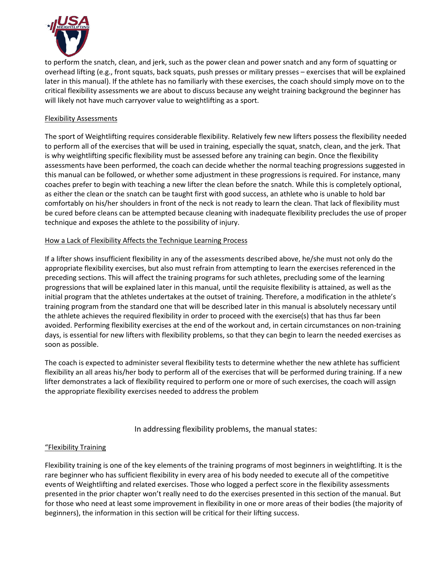

to perform the snatch, clean, and jerk, such as the power clean and power snatch and any form of squatting or overhead lifting (e.g., front squats, back squats, push presses or military presses – exercises that will be explained later in this manual). If the athlete has no familiarly with these exercises, the coach should simply move on to the critical flexibility assessments we are about to discuss because any weight training background the beginner has will likely not have much carryover value to weightlifting as a sport.

### Flexibility Assessments

The sport of Weightlifting requires considerable flexibility. Relatively few new lifters possess the flexibility needed to perform all of the exercises that will be used in training, especially the squat, snatch, clean, and the jerk. That is why weightlifting specific flexibility must be assessed before any training can begin. Once the flexibility assessments have been performed, the coach can decide whether the normal teaching progressions suggested in this manual can be followed, or whether some adjustment in these progressions is required. For instance, many coaches prefer to begin with teaching a new lifter the clean before the snatch. While this is completely optional, as either the clean or the snatch can be taught first with good success, an athlete who is unable to hold bar comfortably on his/her shoulders in front of the neck is not ready to learn the clean. That lack of flexibility must be cured before cleans can be attempted because cleaning with inadequate flexibility precludes the use of proper technique and exposes the athlete to the possibility of injury.

#### How a Lack of Flexibility Affects the Technique Learning Process

If a lifter shows insufficient flexibility in any of the assessments described above, he/she must not only do the appropriate flexibility exercises, but also must refrain from attempting to learn the exercises referenced in the preceding sections. This will affect the training programs for such athletes, precluding some of the learning progressions that will be explained later in this manual, until the requisite flexibility is attained, as well as the initial program that the athletes undertakes at the outset of training. Therefore, a modification in the athlete's training program from the standard one that will be described later in this manual is absolutely necessary until the athlete achieves the required flexibility in order to proceed with the exercise(s) that has thus far been avoided. Performing flexibility exercises at the end of the workout and, in certain circumstances on non-training days, is essential for new lifters with flexibility problems, so that they can begin to learn the needed exercises as soon as possible.

The coach is expected to administer several flexibility tests to determine whether the new athlete has sufficient flexibility an all areas his/her body to perform all of the exercises that will be performed during training. If a new lifter demonstrates a lack of flexibility required to perform one or more of such exercises, the coach will assign the appropriate flexibility exercises needed to address the problem

### In addressing flexibility problems, the manual states:

### "Flexibility Training

Flexibility training is one of the key elements of the training programs of most beginners in weightlifting. It is the rare beginner who has sufficient flexibility in every area of his body needed to execute all of the competitive events of Weightlifting and related exercises. Those who logged a perfect score in the flexibility assessments presented in the prior chapter won't really need to do the exercises presented in this section of the manual. But for those who need at least some improvement in flexibility in one or more areas of their bodies (the majority of beginners), the information in this section will be critical for their lifting success.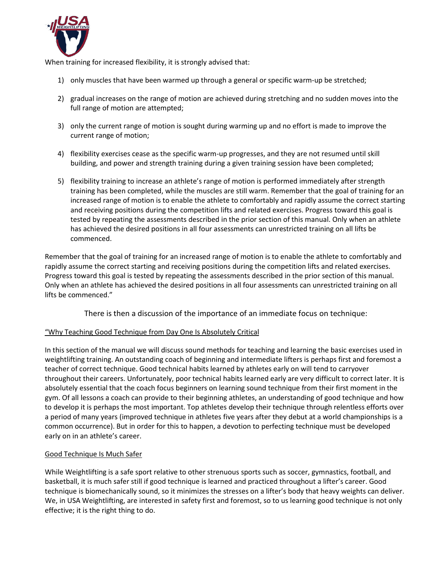

When training for increased flexibility, it is strongly advised that:

- 1) only muscles that have been warmed up through a general or specific warm-up be stretched;
- 2) gradual increases on the range of motion are achieved during stretching and no sudden moves into the full range of motion are attempted;
- 3) only the current range of motion is sought during warming up and no effort is made to improve the current range of motion;
- 4) flexibility exercises cease as the specific warm-up progresses, and they are not resumed until skill building, and power and strength training during a given training session have been completed;
- 5) flexibility training to increase an athlete's range of motion is performed immediately after strength training has been completed, while the muscles are still warm. Remember that the goal of training for an increased range of motion is to enable the athlete to comfortably and rapidly assume the correct starting and receiving positions during the competition lifts and related exercises. Progress toward this goal is tested by repeating the assessments described in the prior section of this manual. Only when an athlete has achieved the desired positions in all four assessments can unrestricted training on all lifts be commenced.

Remember that the goal of training for an increased range of motion is to enable the athlete to comfortably and rapidly assume the correct starting and receiving positions during the competition lifts and related exercises. Progress toward this goal is tested by repeating the assessments described in the prior section of this manual. Only when an athlete has achieved the desired positions in all four assessments can unrestricted training on all lifts be commenced."

There is then a discussion of the importance of an immediate focus on technique:

### "Why Teaching Good Technique from Day One Is Absolutely Critical

In this section of the manual we will discuss sound methods for teaching and learning the basic exercises used in weightlifting training. An outstanding coach of beginning and intermediate lifters is perhaps first and foremost a teacher of correct technique. Good technical habits learned by athletes early on will tend to carryover throughout their careers. Unfortunately, poor technical habits learned early are very difficult to correct later. It is absolutely essential that the coach focus beginners on learning sound technique from their first moment in the gym. Of all lessons a coach can provide to their beginning athletes, an understanding of good technique and how to develop it is perhaps the most important. Top athletes develop their technique through relentless efforts over a period of many years (improved technique in athletes five years after they debut at a world championships is a common occurrence). But in order for this to happen, a devotion to perfecting technique must be developed early on in an athlete's career.

### Good Technique Is Much Safer

While Weightlifting is a safe sport relative to other strenuous sports such as soccer, gymnastics, football, and basketball, it is much safer still if good technique is learned and practiced throughout a lifter's career. Good technique is biomechanically sound, so it minimizes the stresses on a lifter's body that heavy weights can deliver. We, in USA Weightlifting, are interested in safety first and foremost, so to us learning good technique is not only effective; it is the right thing to do.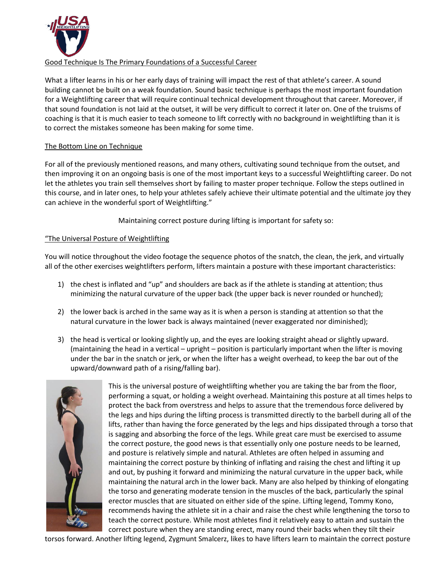

### Good Technique Is The Primary Foundations of a Successful Career

What a lifter learns in his or her early days of training will impact the rest of that athlete's career. A sound building cannot be built on a weak foundation. Sound basic technique is perhaps the most important foundation for a Weightlifting career that will require continual technical development throughout that career. Moreover, if that sound foundation is not laid at the outset, it will be very difficult to correct it later on. One of the truisms of coaching is that it is much easier to teach someone to lift correctly with no background in weightlifting than it is to correct the mistakes someone has been making for some time.

### The Bottom Line on Technique

For all of the previously mentioned reasons, and many others, cultivating sound technique from the outset, and then improving it on an ongoing basis is one of the most important keys to a successful Weightlifting career. Do not let the athletes you train sell themselves short by failing to master proper technique. Follow the steps outlined in this course, and in later ones, to help your athletes safely achieve their ultimate potential and the ultimate joy they can achieve in the wonderful sport of Weightlifting."

Maintaining correct posture during lifting is important for safety so:

### "The Universal Posture of Weightlifting

You will notice throughout the video footage the sequence photos of the snatch, the clean, the jerk, and virtually all of the other exercises weightlifters perform, lifters maintain a posture with these important characteristics:

- 1) the chest is inflated and "up" and shoulders are back as if the athlete is standing at attention; thus minimizing the natural curvature of the upper back (the upper back is never rounded or hunched);
- 2) the lower back is arched in the same way as it is when a person is standing at attention so that the natural curvature in the lower back is always maintained (never exaggerated nor diminished);
- 3) the head is vertical or looking slightly up, and the eyes are looking straight ahead or slightly upward. (maintaining the head in a vertical – upright – position is particularly important when the lifter is moving under the bar in the snatch or jerk, or when the lifter has a weight overhead, to keep the bar out of the upward/downward path of a rising/falling bar).



This is the universal posture of weightlifting whether you are taking the bar from the floor, performing a squat, or holding a weight overhead. Maintaining this posture at all times helps to protect the back from overstress and helps to assure that the tremendous force delivered by the legs and hips during the lifting process is transmitted directly to the barbell during all of the lifts, rather than having the force generated by the legs and hips dissipated through a torso that is sagging and absorbing the force of the legs. While great care must be exercised to assume the correct posture, the good news is that essentially only one posture needs to be learned, and posture is relatively simple and natural. Athletes are often helped in assuming and maintaining the correct posture by thinking of inflating and raising the chest and lifting it up and out, by pushing it forward and minimizing the natural curvature in the upper back, while maintaining the natural arch in the lower back. Many are also helped by thinking of elongating the torso and generating moderate tension in the muscles of the back, particularly the spinal erector muscles that are situated on either side of the spine. Lifting legend, Tommy Kono, recommends having the athlete sit in a chair and raise the chest while lengthening the torso to teach the correct posture. While most athletes find it relatively easy to attain and sustain the correct posture when they are standing erect, many round their backs when they tilt their

torsos forward. Another lifting legend, Zygmunt Smalcerz, likes to have lifters learn to maintain the correct posture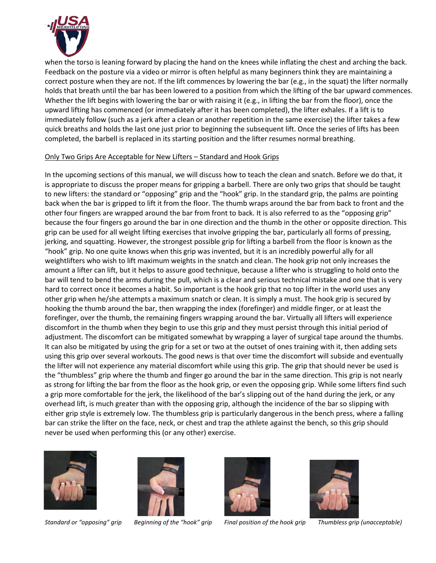

when the torso is leaning forward by placing the hand on the knees while inflating the chest and arching the back. Feedback on the posture via a video or mirror is often helpful as many beginners think they are maintaining a correct posture when they are not. If the lift commences by lowering the bar (e.g., in the squat) the lifter normally holds that breath until the bar has been lowered to a position from which the lifting of the bar upward commences. Whether the lift begins with lowering the bar or with raising it (e.g., in lifting the bar from the floor), once the upward lifting has commenced (or immediately after it has been completed), the lifter exhales. If a lift is to immediately follow (such as a jerk after a clean or another repetition in the same exercise) the lifter takes a few quick breaths and holds the last one just prior to beginning the subsequent lift. Once the series of lifts has been completed, the barbell is replaced in its starting position and the lifter resumes normal breathing.

#### Only Two Grips Are Acceptable for New Lifters – Standard and Hook Grips

In the upcoming sections of this manual, we will discuss how to teach the clean and snatch. Before we do that, it is appropriate to discuss the proper means for gripping a barbell. There are only two grips that should be taught to new lifters: the standard or "opposing" grip and the "hook" grip. In the standard grip, the palms are pointing back when the bar is gripped to lift it from the floor. The thumb wraps around the bar from back to front and the other four fingers are wrapped around the bar from front to back. It is also referred to as the "opposing grip" because the four fingers go around the bar in one direction and the thumb in the other or opposite direction. This grip can be used for all weight lifting exercises that involve gripping the bar, particularly all forms of pressing, jerking, and squatting. However, the strongest possible grip for lifting a barbell from the floor is known as the "hook" grip. No one quite knows when this grip was invented, but it is an incredibly powerful ally for all weightlifters who wish to lift maximum weights in the snatch and clean. The hook grip not only increases the amount a lifter can lift, but it helps to assure good technique, because a lifter who is struggling to hold onto the bar will tend to bend the arms during the pull, which is a clear and serious technical mistake and one that is very hard to correct once it becomes a habit. So important is the hook grip that no top lifter in the world uses any other grip when he/she attempts a maximum snatch or clean. It is simply a must. The hook grip is secured by hooking the thumb around the bar, then wrapping the index (forefinger) and middle finger, or at least the forefinger, over the thumb, the remaining fingers wrapping around the bar. Virtually all lifters will experience discomfort in the thumb when they begin to use this grip and they must persist through this initial period of adjustment. The discomfort can be mitigated somewhat by wrapping a layer of surgical tape around the thumbs. It can also be mitigated by using the grip for a set or two at the outset of ones training with it, then adding sets using this grip over several workouts. The good news is that over time the discomfort will subside and eventually the lifter will not experience any material discomfort while using this grip. The grip that should never be used is the "thumbless" grip where the thumb and finger go around the bar in the same direction. This grip is not nearly as strong for lifting the bar from the floor as the hook grip, or even the opposing grip. While some lifters find such a grip more comfortable for the jerk, the likelihood of the bar's slipping out of the hand during the jerk, or any overhead lift, is much greater than with the opposing grip, although the incidence of the bar so slipping with either grip style is extremely low. The thumbless grip is particularly dangerous in the bench press, where a falling bar can strike the lifter on the face, neck, or chest and trap the athlete against the bench, so this grip should never be used when performing this (or any other) exercise.







*Standard or "opposing" grip Beginning of the "hook" grip Final position of the hook grip Thumbless grip (unacceptable)*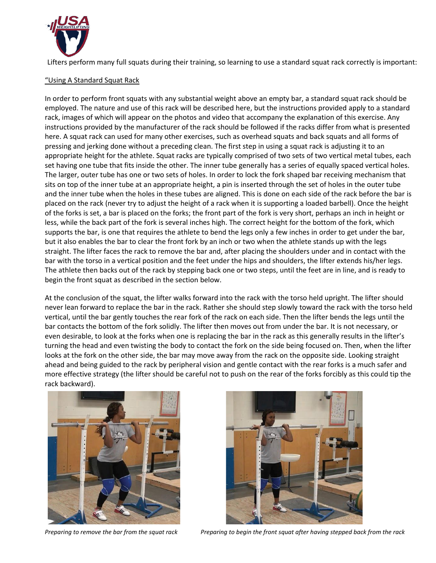

Lifters perform many full squats during their training, so learning to use a standard squat rack correctly is important:

#### "Using A Standard Squat Rack

In order to perform front squats with any substantial weight above an empty bar, a standard squat rack should be employed. The nature and use of this rack will be described here, but the instructions provided apply to a standard rack, images of which will appear on the photos and video that accompany the explanation of this exercise. Any instructions provided by the manufacturer of the rack should be followed if the racks differ from what is presented here. A squat rack can used for many other exercises, such as overhead squats and back squats and all forms of pressing and jerking done without a preceding clean. The first step in using a squat rack is adjusting it to an appropriate height for the athlete. Squat racks are typically comprised of two sets of two vertical metal tubes, each set having one tube that fits inside the other. The inner tube generally has a series of equally spaced vertical holes. The larger, outer tube has one or two sets of holes. In order to lock the fork shaped bar receiving mechanism that sits on top of the inner tube at an appropriate height, a pin is inserted through the set of holes in the outer tube and the inner tube when the holes in these tubes are aligned. This is done on each side of the rack before the bar is placed on the rack (never try to adjust the height of a rack when it is supporting a loaded barbell). Once the height of the forks is set, a bar is placed on the forks; the front part of the fork is very short, perhaps an inch in height or less, while the back part of the fork is several inches high. The correct height for the bottom of the fork, which supports the bar, is one that requires the athlete to bend the legs only a few inches in order to get under the bar, but it also enables the bar to clear the front fork by an inch or two when the athlete stands up with the legs straight. The lifter faces the rack to remove the bar and, after placing the shoulders under and in contact with the bar with the torso in a vertical position and the feet under the hips and shoulders, the lifter extends his/her legs. The athlete then backs out of the rack by stepping back one or two steps, until the feet are in line, and is ready to begin the front squat as described in the section below.

At the conclusion of the squat, the lifter walks forward into the rack with the torso held upright. The lifter should never lean forward to replace the bar in the rack. Rather she should step slowly toward the rack with the torso held vertical, until the bar gently touches the rear fork of the rack on each side. Then the lifter bends the legs until the bar contacts the bottom of the fork solidly. The lifter then moves out from under the bar. It is not necessary, or even desirable, to look at the forks when one is replacing the bar in the rack as this generally results in the lifter's turning the head and even twisting the body to contact the fork on the side being focused on. Then, when the lifter looks at the fork on the other side, the bar may move away from the rack on the opposite side. Looking straight ahead and being guided to the rack by peripheral vision and gentle contact with the rear forks is a much safer and more effective strategy (the lifter should be careful not to push on the rear of the forks forcibly as this could tip the rack backward).





*Preparing to remove the bar from the squat rack Preparing to begin the front squat after having stepped back from the rack*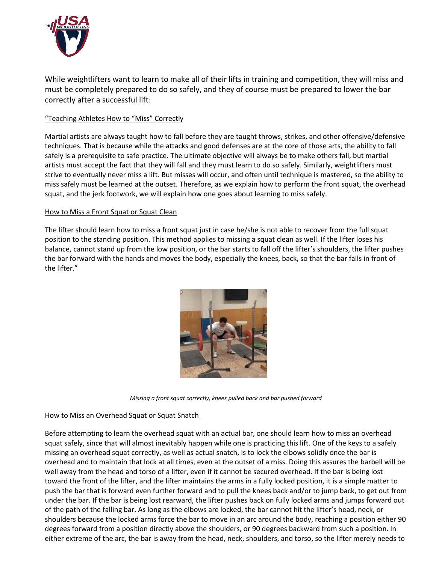

While weightlifters want to learn to make all of their lifts in training and competition, they will miss and must be completely prepared to do so safely, and they of course must be prepared to lower the bar correctly after a successful lift:

### "Teaching Athletes How to "Miss" Correctly

Martial artists are always taught how to fall before they are taught throws, strikes, and other offensive/defensive techniques. That is because while the attacks and good defenses are at the core of those arts, the ability to fall safely is a prerequisite to safe practice. The ultimate objective will always be to make others fall, but martial artists must accept the fact that they will fall and they must learn to do so safely. Similarly, weightlifters must strive to eventually never miss a lift. But misses will occur, and often until technique is mastered, so the ability to miss safely must be learned at the outset. Therefore, as we explain how to perform the front squat, the overhead squat, and the jerk footwork, we will explain how one goes about learning to miss safely.

#### How to Miss a Front Squat or Squat Clean

The lifter should learn how to miss a front squat just in case he/she is not able to recover from the full squat position to the standing position. This method applies to missing a squat clean as well. If the lifter loses his balance, cannot stand up from the low position, or the bar starts to fall off the lifter's shoulders, the lifter pushes the bar forward with the hands and moves the body, especially the knees, back, so that the bar falls in front of the lifter."



*Missing a front squat correctly, knees pulled back and bar pushed forward*

#### How to Miss an Overhead Squat or Squat Snatch

Before attempting to learn the overhead squat with an actual bar, one should learn how to miss an overhead squat safely, since that will almost inevitably happen while one is practicing this lift. One of the keys to a safely missing an overhead squat correctly, as well as actual snatch, is to lock the elbows solidly once the bar is overhead and to maintain that lock at all times, even at the outset of a miss. Doing this assures the barbell will be well away from the head and torso of a lifter, even if it cannot be secured overhead. If the bar is being lost toward the front of the lifter, and the lifter maintains the arms in a fully locked position, it is a simple matter to push the bar that is forward even further forward and to pull the knees back and/or to jump back, to get out from under the bar. If the bar is being lost rearward, the lifter pushes back on fully locked arms and jumps forward out of the path of the falling bar. As long as the elbows are locked, the bar cannot hit the lifter's head, neck, or shoulders because the locked arms force the bar to move in an arc around the body, reaching a position either 90 degrees forward from a position directly above the shoulders, or 90 degrees backward from such a position. In either extreme of the arc, the bar is away from the head, neck, shoulders, and torso, so the lifter merely needs to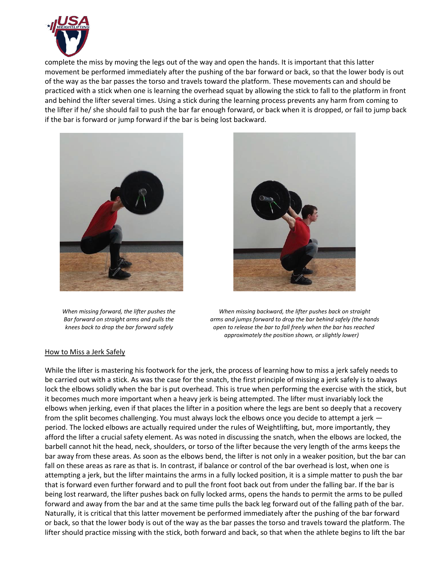

complete the miss by moving the legs out of the way and open the hands. It is important that this latter movement be performed immediately after the pushing of the bar forward or back, so that the lower body is out of the way as the bar passes the torso and travels toward the platform. These movements can and should be practiced with a stick when one is learning the overhead squat by allowing the stick to fall to the platform in front and behind the lifter several times. Using a stick during the learning process prevents any harm from coming to the lifter if he/ she should fail to push the bar far enough forward, or back when it is dropped, or fail to jump back if the bar is forward or jump forward if the bar is being lost backward.





 *When missing forward, the lifter pushes the When missing backward, the lifter pushes back on straight Bar forward on straight arms and pulls the arms and jumps forward to drop the bar behind safely (the hands knees back to drop the bar forward safely open to release the bar to fall freely when the bar has reached approximately the position shown, or slightly lower)*

#### How to Miss a Jerk Safely

While the lifter is mastering his footwork for the jerk, the process of learning how to miss a jerk safely needs to be carried out with a stick. As was the case for the snatch, the first principle of missing a jerk safely is to always lock the elbows solidly when the bar is put overhead. This is true when performing the exercise with the stick, but it becomes much more important when a heavy jerk is being attempted. The lifter must invariably lock the elbows when jerking, even if that places the lifter in a position where the legs are bent so deeply that a recovery from the split becomes challenging. You must always lock the elbows once you decide to attempt a jerk period. The locked elbows are actually required under the rules of Weightlifting, but, more importantly, they afford the lifter a crucial safety element. As was noted in discussing the snatch, when the elbows are locked, the barbell cannot hit the head, neck, shoulders, or torso of the lifter because the very length of the arms keeps the bar away from these areas. As soon as the elbows bend, the lifter is not only in a weaker position, but the bar can fall on these areas as rare as that is. In contrast, if balance or control of the bar overhead is lost, when one is attempting a jerk, but the lifter maintains the arms in a fully locked position, it is a simple matter to push the bar that is forward even further forward and to pull the front foot back out from under the falling bar. If the bar is being lost rearward, the lifter pushes back on fully locked arms, opens the hands to permit the arms to be pulled forward and away from the bar and at the same time pulls the back leg forward out of the falling path of the bar. Naturally, it is critical that this latter movement be performed immediately after the pushing of the bar forward or back, so that the lower body is out of the way as the bar passes the torso and travels toward the platform. The lifter should practice missing with the stick, both forward and back, so that when the athlete begins to lift the bar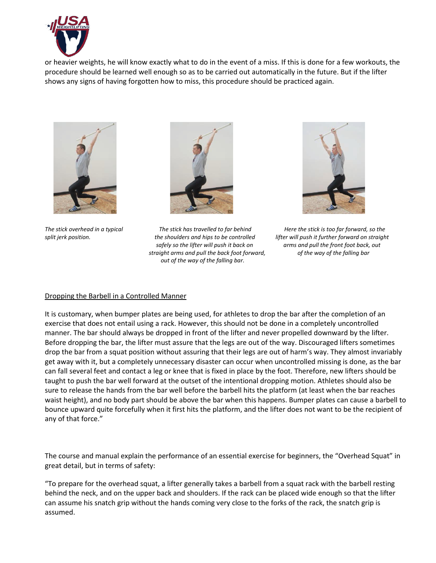

or heavier weights, he will know exactly what to do in the event of a miss. If this is done for a few workouts, the procedure should be learned well enough so as to be carried out automatically in the future. But if the lifter shows any signs of having forgotten how to miss, this procedure should be practiced again.





*The stick overhead in a typical The stick has travelled to far behind Here the stick is too far forward, so the split jerk position. the shoulders and hips to be controlled lifter will push it further forward on straight safely so the lifter will push it back on arms and pull the front foot back, out straight arms and pull the back foot forward, of the way of the falling bar out of the way of the falling bar.*



#### Dropping the Barbell in a Controlled Manner

It is customary, when bumper plates are being used, for athletes to drop the bar after the completion of an exercise that does not entail using a rack. However, this should not be done in a completely uncontrolled manner. The bar should always be dropped in front of the lifter and never propelled downward by the lifter. Before dropping the bar, the lifter must assure that the legs are out of the way. Discouraged lifters sometimes drop the bar from a squat position without assuring that their legs are out of harm's way. They almost invariably get away with it, but a completely unnecessary disaster can occur when uncontrolled missing is done, as the bar can fall several feet and contact a leg or knee that is fixed in place by the foot. Therefore, new lifters should be taught to push the bar well forward at the outset of the intentional dropping motion. Athletes should also be sure to release the hands from the bar well before the barbell hits the platform (at least when the bar reaches waist height), and no body part should be above the bar when this happens. Bumper plates can cause a barbell to bounce upward quite forcefully when it first hits the platform, and the lifter does not want to be the recipient of any of that force."

The course and manual explain the performance of an essential exercise for beginners, the "Overhead Squat" in great detail, but in terms of safety:

"To prepare for the overhead squat, a lifter generally takes a barbell from a squat rack with the barbell resting behind the neck, and on the upper back and shoulders. If the rack can be placed wide enough so that the lifter can assume his snatch grip without the hands coming very close to the forks of the rack, the snatch grip is assumed.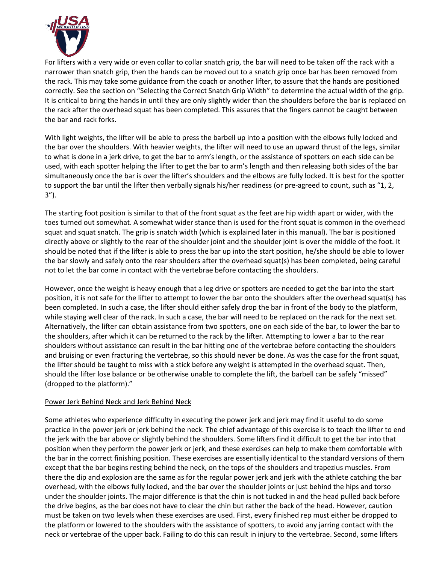

For lifters with a very wide or even collar to collar snatch grip, the bar will need to be taken off the rack with a narrower than snatch grip, then the hands can be moved out to a snatch grip once bar has been removed from the rack. This may take some guidance from the coach or another lifter, to assure that the hands are positioned correctly. See the section on "Selecting the Correct Snatch Grip Width" to determine the actual width of the grip. It is critical to bring the hands in until they are only slightly wider than the shoulders before the bar is replaced on the rack after the overhead squat has been completed. This assures that the fingers cannot be caught between the bar and rack forks.

With light weights, the lifter will be able to press the barbell up into a position with the elbows fully locked and the bar over the shoulders. With heavier weights, the lifter will need to use an upward thrust of the legs, similar to what is done in a jerk drive, to get the bar to arm's length, or the assistance of spotters on each side can be used, with each spotter helping the lifter to get the bar to arm's length and then releasing both sides of the bar simultaneously once the bar is over the lifter's shoulders and the elbows are fully locked. It is best for the spotter to support the bar until the lifter then verbally signals his/her readiness (or pre-agreed to count, such as "1, 2, 3").

The starting foot position is similar to that of the front squat as the feet are hip width apart or wider, with the toes turned out somewhat. A somewhat wider stance than is used for the front squat is common in the overhead squat and squat snatch. The grip is snatch width (which is explained later in this manual). The bar is positioned directly above or slightly to the rear of the shoulder joint and the shoulder joint is over the middle of the foot. It should be noted that if the lifter is able to press the bar up into the start position, he/she should be able to lower the bar slowly and safely onto the rear shoulders after the overhead squat(s) has been completed, being careful not to let the bar come in contact with the vertebrae before contacting the shoulders.

However, once the weight is heavy enough that a leg drive or spotters are needed to get the bar into the start position, it is not safe for the lifter to attempt to lower the bar onto the shoulders after the overhead squat(s) has been completed. In such a case, the lifter should either safely drop the bar in front of the body to the platform, while staying well clear of the rack. In such a case, the bar will need to be replaced on the rack for the next set. Alternatively, the lifter can obtain assistance from two spotters, one on each side of the bar, to lower the bar to the shoulders, after which it can be returned to the rack by the lifter. Attempting to lower a bar to the rear shoulders without assistance can result in the bar hitting one of the vertebrae before contacting the shoulders and bruising or even fracturing the vertebrae, so this should never be done. As was the case for the front squat, the lifter should be taught to miss with a stick before any weight is attempted in the overhead squat. Then, should the lifter lose balance or be otherwise unable to complete the lift, the barbell can be safely "missed" (dropped to the platform)."

#### Power Jerk Behind Neck and Jerk Behind Neck

Some athletes who experience difficulty in executing the power jerk and jerk may find it useful to do some practice in the power jerk or jerk behind the neck. The chief advantage of this exercise is to teach the lifter to end the jerk with the bar above or slightly behind the shoulders. Some lifters find it difficult to get the bar into that position when they perform the power jerk or jerk, and these exercises can help to make them comfortable with the bar in the correct finishing position. These exercises are essentially identical to the standard versions of them except that the bar begins resting behind the neck, on the tops of the shoulders and trapezius muscles. From there the dip and explosion are the same as for the regular power jerk and jerk with the athlete catching the bar overhead, with the elbows fully locked, and the bar over the shoulder joints or just behind the hips and torso under the shoulder joints. The major difference is that the chin is not tucked in and the head pulled back before the drive begins, as the bar does not have to clear the chin but rather the back of the head. However, caution must be taken on two levels when these exercises are used. First, every finished rep must either be dropped to the platform or lowered to the shoulders with the assistance of spotters, to avoid any jarring contact with the neck or vertebrae of the upper back. Failing to do this can result in injury to the vertebrae. Second, some lifters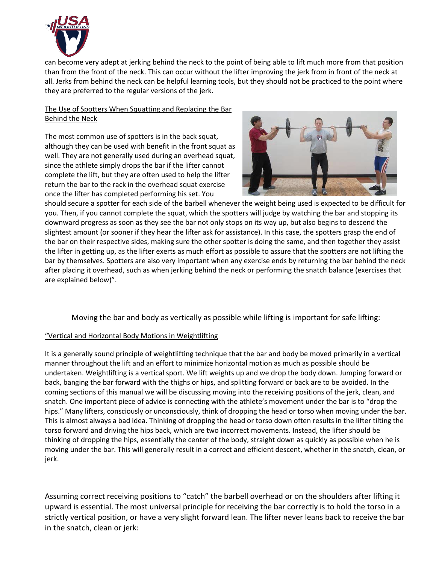

can become very adept at jerking behind the neck to the point of being able to lift much more from that position than from the front of the neck. This can occur without the lifter improving the jerk from in front of the neck at all. Jerks from behind the neck can be helpful learning tools, but they should not be practiced to the point where they are preferred to the regular versions of the jerk.

### The Use of Spotters When Squatting and Replacing the Bar Behind the Neck

The most common use of spotters is in the back squat, although they can be used with benefit in the front squat as well. They are not generally used during an overhead squat, since the athlete simply drops the bar if the lifter cannot complete the lift, but they are often used to help the lifter return the bar to the rack in the overhead squat exercise once the lifter has completed performing his set. You



should secure a spotter for each side of the barbell whenever the weight being used is expected to be difficult for you. Then, if you cannot complete the squat, which the spotters will judge by watching the bar and stopping its downward progress as soon as they see the bar not only stops on its way up, but also begins to descend the slightest amount (or sooner if they hear the lifter ask for assistance). In this case, the spotters grasp the end of the bar on their respective sides, making sure the other spotter is doing the same, and then together they assist the lifter in getting up, as the lifter exerts as much effort as possible to assure that the spotters are not lifting the bar by themselves. Spotters are also very important when any exercise ends by returning the bar behind the neck after placing it overhead, such as when jerking behind the neck or performing the snatch balance (exercises that are explained below)".

Moving the bar and body as vertically as possible while lifting is important for safe lifting:

# "Vertical and Horizontal Body Motions in Weightlifting

It is a generally sound principle of weightlifting technique that the bar and body be moved primarily in a vertical manner throughout the lift and an effort to minimize horizontal motion as much as possible should be undertaken. Weightlifting is a vertical sport. We lift weights up and we drop the body down. Jumping forward or back, banging the bar forward with the thighs or hips, and splitting forward or back are to be avoided. In the coming sections of this manual we will be discussing moving into the receiving positions of the jerk, clean, and snatch. One important piece of advice is connecting with the athlete's movement under the bar is to "drop the hips." Many lifters, consciously or unconsciously, think of dropping the head or torso when moving under the bar. This is almost always a bad idea. Thinking of dropping the head or torso down often results in the lifter tilting the torso forward and driving the hips back, which are two incorrect movements. Instead, the lifter should be thinking of dropping the hips, essentially the center of the body, straight down as quickly as possible when he is moving under the bar. This will generally result in a correct and efficient descent, whether in the snatch, clean, or jerk.

Assuming correct receiving positions to "catch" the barbell overhead or on the shoulders after lifting it upward is essential. The most universal principle for receiving the bar correctly is to hold the torso in a strictly vertical position, or have a very slight forward lean. The lifter never leans back to receive the bar in the snatch, clean or jerk: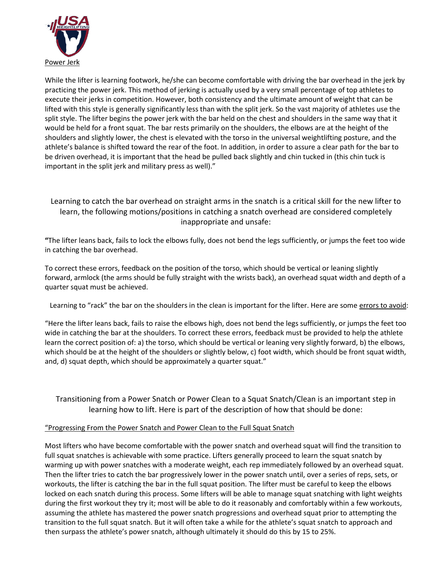

While the lifter is learning footwork, he/she can become comfortable with driving the bar overhead in the jerk by practicing the power jerk. This method of jerking is actually used by a very small percentage of top athletes to execute their jerks in competition. However, both consistency and the ultimate amount of weight that can be lifted with this style is generally significantly less than with the split jerk. So the vast majority of athletes use the split style. The lifter begins the power jerk with the bar held on the chest and shoulders in the same way that it would be held for a front squat. The bar rests primarily on the shoulders, the elbows are at the height of the shoulders and slightly lower, the chest is elevated with the torso in the universal weightlifting posture, and the athlete's balance is shifted toward the rear of the foot. In addition, in order to assure a clear path for the bar to be driven overhead, it is important that the head be pulled back slightly and chin tucked in (this chin tuck is important in the split jerk and military press as well)."

# Learning to catch the bar overhead on straight arms in the snatch is a critical skill for the new lifter to learn, the following motions/positions in catching a snatch overhead are considered completely inappropriate and unsafe:

**"**The lifter leans back, fails to lock the elbows fully, does not bend the legs sufficiently, or jumps the feet too wide in catching the bar overhead.

To correct these errors, feedback on the position of the torso, which should be vertical or leaning slightly forward, armlock (the arms should be fully straight with the wrists back), an overhead squat width and depth of a quarter squat must be achieved.

Learning to "rack" the bar on the shoulders in the clean is important for the lifter. Here are some errors to avoid:

"Here the lifter leans back, fails to raise the elbows high, does not bend the legs sufficiently, or jumps the feet too wide in catching the bar at the shoulders. To correct these errors, feedback must be provided to help the athlete learn the correct position of: a) the torso, which should be vertical or leaning very slightly forward, b) the elbows, which should be at the height of the shoulders or slightly below, c) foot width, which should be front squat width, and, d) squat depth, which should be approximately a quarter squat."

Transitioning from a Power Snatch or Power Clean to a Squat Snatch/Clean is an important step in learning how to lift. Here is part of the description of how that should be done:

### "Progressing From the Power Snatch and Power Clean to the Full Squat Snatch

Most lifters who have become comfortable with the power snatch and overhead squat will find the transition to full squat snatches is achievable with some practice. Lifters generally proceed to learn the squat snatch by warming up with power snatches with a moderate weight, each rep immediately followed by an overhead squat. Then the lifter tries to catch the bar progressively lower in the power snatch until, over a series of reps, sets, or workouts, the lifter is catching the bar in the full squat position. The lifter must be careful to keep the elbows locked on each snatch during this process. Some lifters will be able to manage squat snatching with light weights during the first workout they try it; most will be able to do it reasonably and comfortably within a few workouts, assuming the athlete has mastered the power snatch progressions and overhead squat prior to attempting the transition to the full squat snatch. But it will often take a while for the athlete's squat snatch to approach and then surpass the athlete's power snatch, although ultimately it should do this by 15 to 25%.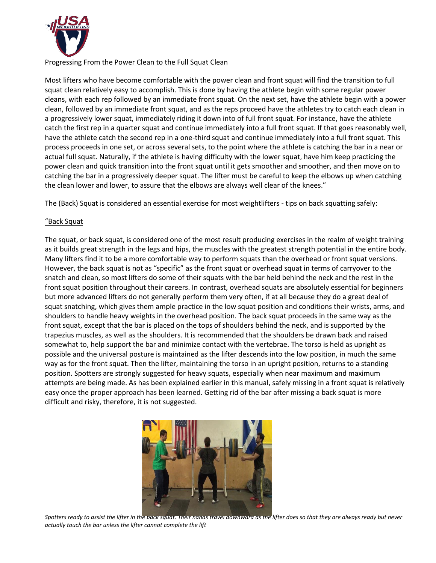

### Progressing From the Power Clean to the Full Squat Clean

Most lifters who have become comfortable with the power clean and front squat will find the transition to full squat clean relatively easy to accomplish. This is done by having the athlete begin with some regular power cleans, with each rep followed by an immediate front squat. On the next set, have the athlete begin with a power clean, followed by an immediate front squat, and as the reps proceed have the athletes try to catch each clean in a progressively lower squat, immediately riding it down into of full front squat. For instance, have the athlete catch the first rep in a quarter squat and continue immediately into a full front squat. If that goes reasonably well, have the athlete catch the second rep in a one-third squat and continue immediately into a full front squat. This process proceeds in one set, or across several sets, to the point where the athlete is catching the bar in a near or actual full squat. Naturally, if the athlete is having difficulty with the lower squat, have him keep practicing the power clean and quick transition into the front squat until it gets smoother and smoother, and then move on to catching the bar in a progressively deeper squat. The lifter must be careful to keep the elbows up when catching the clean lower and lower, to assure that the elbows are always well clear of the knees."

The (Back) Squat is considered an essential exercise for most weightlifters - tips on back squatting safely:

### "Back Squat

The squat, or back squat, is considered one of the most result producing exercises in the realm of weight training as it builds great strength in the legs and hips, the muscles with the greatest strength potential in the entire body. Many lifters find it to be a more comfortable way to perform squats than the overhead or front squat versions. However, the back squat is not as "specific" as the front squat or overhead squat in terms of carryover to the snatch and clean, so most lifters do some of their squats with the bar held behind the neck and the rest in the front squat position throughout their careers. In contrast, overhead squats are absolutely essential for beginners but more advanced lifters do not generally perform them very often, if at all because they do a great deal of squat snatching, which gives them ample practice in the low squat position and conditions their wrists, arms, and shoulders to handle heavy weights in the overhead position. The back squat proceeds in the same way as the front squat, except that the bar is placed on the tops of shoulders behind the neck, and is supported by the trapezius muscles, as well as the shoulders. It is recommended that the shoulders be drawn back and raised somewhat to, help support the bar and minimize contact with the vertebrae. The torso is held as upright as possible and the universal posture is maintained as the lifter descends into the low position, in much the same way as for the front squat. Then the lifter, maintaining the torso in an upright position, returns to a standing position. Spotters are strongly suggested for heavy squats, especially when near maximum and maximum attempts are being made. As has been explained earlier in this manual, safely missing in a front squat is relatively easy once the proper approach has been learned. Getting rid of the bar after missing a back squat is more difficult and risky, therefore, it is not suggested.



*Spotters ready to assist the lifter in the back squat. Their hands travel downward as the lifter does so that they are always ready but never actually touch the bar unless the lifter cannot complete the lift*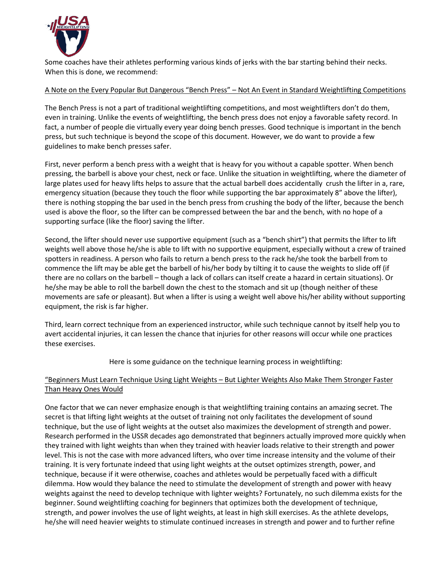

Some coaches have their athletes performing various kinds of jerks with the bar starting behind their necks. When this is done, we recommend:

### A Note on the Every Popular But Dangerous "Bench Press" – Not An Event in Standard Weightlifting Competitions

The Bench Press is not a part of traditional weightlifting competitions, and most weightlifters don't do them, even in training. Unlike the events of weightlifting, the bench press does not enjoy a favorable safety record. In fact, a number of people die virtually every year doing bench presses. Good technique is important in the bench press, but such technique is beyond the scope of this document. However, we do want to provide a few guidelines to make bench presses safer.

First, never perform a bench press with a weight that is heavy for you without a capable spotter. When bench pressing, the barbell is above your chest, neck or face. Unlike the situation in weightlifting, where the diameter of large plates used for heavy lifts helps to assure that the actual barbell does accidentally crush the lifter in a, rare, emergency situation (because they touch the floor while supporting the bar approximately 8" above the lifter), there is nothing stopping the bar used in the bench press from crushing the body of the lifter, because the bench used is above the floor, so the lifter can be compressed between the bar and the bench, with no hope of a supporting surface (like the floor) saving the lifter.

Second, the lifter should never use supportive equipment (such as a "bench shirt") that permits the lifter to lift weights well above those he/she is able to lift with no supportive equipment, especially without a crew of trained spotters in readiness. A person who fails to return a bench press to the rack he/she took the barbell from to commence the lift may be able get the barbell of his/her body by tilting it to cause the weights to slide off (if there are no collars on the barbell – though a lack of collars can itself create a hazard in certain situations). Or he/she may be able to roll the barbell down the chest to the stomach and sit up (though neither of these movements are safe or pleasant). But when a lifter is using a weight well above his/her ability without supporting equipment, the risk is far higher.

Third, learn correct technique from an experienced instructor, while such technique cannot by itself help you to avert accidental injuries, it can lessen the chance that injuries for other reasons will occur while one practices these exercises.

Here is some guidance on the technique learning process in weightlifting:

### "Beginners Must Learn Technique Using Light Weights – But Lighter Weights Also Make Them Stronger Faster Than Heavy Ones Would

One factor that we can never emphasize enough is that weightlifting training contains an amazing secret. The secret is that lifting light weights at the outset of training not only facilitates the development of sound technique, but the use of light weights at the outset also maximizes the development of strength and power. Research performed in the USSR decades ago demonstrated that beginners actually improved more quickly when they trained with light weights than when they trained with heavier loads relative to their strength and power level. This is not the case with more advanced lifters, who over time increase intensity and the volume of their training. It is very fortunate indeed that using light weights at the outset optimizes strength, power, and technique, because if it were otherwise, coaches and athletes would be perpetually faced with a difficult dilemma. How would they balance the need to stimulate the development of strength and power with heavy weights against the need to develop technique with lighter weights? Fortunately, no such dilemma exists for the beginner. Sound weightlifting coaching for beginners that optimizes both the development of technique, strength, and power involves the use of light weights, at least in high skill exercises. As the athlete develops, he/she will need heavier weights to stimulate continued increases in strength and power and to further refine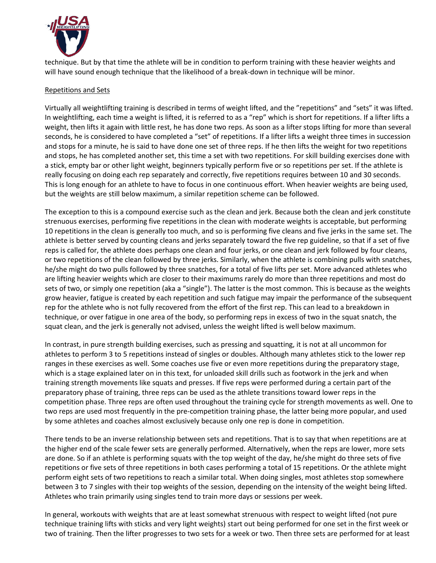

technique. But by that time the athlete will be in condition to perform training with these heavier weights and will have sound enough technique that the likelihood of a break-down in technique will be minor.

#### Repetitions and Sets

Virtually all weightlifting training is described in terms of weight lifted, and the "repetitions" and "sets" it was lifted. In weightlifting, each time a weight is lifted, it is referred to as a "rep" which is short for repetitions. If a lifter lifts a weight, then lifts it again with little rest, he has done two reps. As soon as a lifter stops lifting for more than several seconds, he is considered to have completed a "set" of repetitions. If a lifter lifts a weight three times in succession and stops for a minute, he is said to have done one set of three reps. If he then lifts the weight for two repetitions and stops, he has completed another set, this time a set with two repetitions. For skill building exercises done with a stick, empty bar or other light weight, beginners typically perform five or so repetitions per set. If the athlete is really focusing on doing each rep separately and correctly, five repetitions requires between 10 and 30 seconds. This is long enough for an athlete to have to focus in one continuous effort. When heavier weights are being used, but the weights are still below maximum, a similar repetition scheme can be followed.

The exception to this is a compound exercise such as the clean and jerk. Because both the clean and jerk constitute strenuous exercises, performing five repetitions in the clean with moderate weights is acceptable, but performing 10 repetitions in the clean is generally too much, and so is performing five cleans and five jerks in the same set. The athlete is better served by counting cleans and jerks separately toward the five rep guideline, so that if a set of five reps is called for, the athlete does perhaps one clean and four jerks, or one clean and jerk followed by four cleans, or two repetitions of the clean followed by three jerks. Similarly, when the athlete is combining pulls with snatches, he/she might do two pulls followed by three snatches, for a total of five lifts per set. More advanced athletes who are lifting heavier weights which are closer to their maximums rarely do more than three repetitions and most do sets of two, or simply one repetition (aka a "single"). The latter is the most common. This is because as the weights grow heavier, fatigue is created by each repetition and such fatigue may impair the performance of the subsequent rep for the athlete who is not fully recovered from the effort of the first rep. This can lead to a breakdown in technique, or over fatigue in one area of the body, so performing reps in excess of two in the squat snatch, the squat clean, and the jerk is generally not advised, unless the weight lifted is well below maximum.

In contrast, in pure strength building exercises, such as pressing and squatting, it is not at all uncommon for athletes to perform 3 to 5 repetitions instead of singles or doubles. Although many athletes stick to the lower rep ranges in these exercises as well. Some coaches use five or even more repetitions during the preparatory stage, which is a stage explained later on in this text, for unloaded skill drills such as footwork in the jerk and when training strength movements like squats and presses. If five reps were performed during a certain part of the preparatory phase of training, three reps can be used as the athlete transitions toward lower reps in the competition phase. Three reps are often used throughout the training cycle for strength movements as well. One to two reps are used most frequently in the pre-competition training phase, the latter being more popular, and used by some athletes and coaches almost exclusively because only one rep is done in competition.

There tends to be an inverse relationship between sets and repetitions. That is to say that when repetitions are at the higher end of the scale fewer sets are generally performed. Alternatively, when the reps are lower, more sets are done. So if an athlete is performing squats with the top weight of the day, he/she might do three sets of five repetitions or five sets of three repetitions in both cases performing a total of 15 repetitions. Or the athlete might perform eight sets of two repetitions to reach a similar total. When doing singles, most athletes stop somewhere between 3 to 7 singles with their top weights of the session, depending on the intensity of the weight being lifted. Athletes who train primarily using singles tend to train more days or sessions per week.

In general, workouts with weights that are at least somewhat strenuous with respect to weight lifted (not pure technique training lifts with sticks and very light weights) start out being performed for one set in the first week or two of training. Then the lifter progresses to two sets for a week or two. Then three sets are performed for at least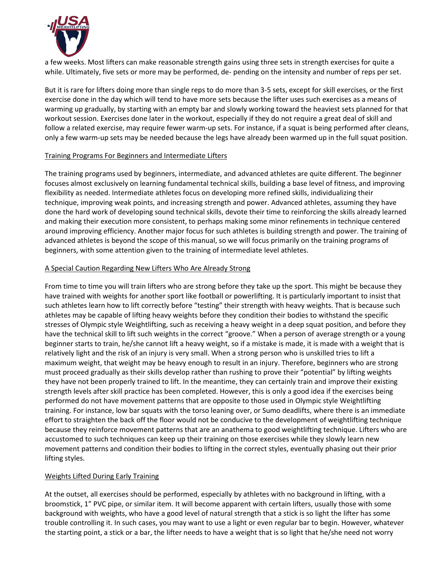

a few weeks. Most lifters can make reasonable strength gains using three sets in strength exercises for quite a while. Ultimately, five sets or more may be performed, de- pending on the intensity and number of reps per set.

But it is rare for lifters doing more than single reps to do more than 3-5 sets, except for skill exercises, or the first exercise done in the day which will tend to have more sets because the lifter uses such exercises as a means of warming up gradually, by starting with an empty bar and slowly working toward the heaviest sets planned for that workout session. Exercises done later in the workout, especially if they do not require a great deal of skill and follow a related exercise, may require fewer warm-up sets. For instance, if a squat is being performed after cleans, only a few warm-up sets may be needed because the legs have already been warmed up in the full squat position.

#### Training Programs For Beginners and Intermediate Lifters

The training programs used by beginners, intermediate, and advanced athletes are quite different. The beginner focuses almost exclusively on learning fundamental technical skills, building a base level of fitness, and improving flexibility as needed. Intermediate athletes focus on developing more refined skills, individualizing their technique, improving weak points, and increasing strength and power. Advanced athletes, assuming they have done the hard work of developing sound technical skills, devote their time to reinforcing the skills already learned and making their execution more consistent, to perhaps making some minor refinements in technique centered around improving efficiency. Another major focus for such athletes is building strength and power. The training of advanced athletes is beyond the scope of this manual, so we will focus primarily on the training programs of beginners, with some attention given to the training of intermediate level athletes.

#### A Special Caution Regarding New Lifters Who Are Already Strong

From time to time you will train lifters who are strong before they take up the sport. This might be because they have trained with weights for another sport like football or powerlifting. It is particularly important to insist that such athletes learn how to lift correctly before "testing" their strength with heavy weights. That is because such athletes may be capable of lifting heavy weights before they condition their bodies to withstand the specific stresses of Olympic style Weightlifting, such as receiving a heavy weight in a deep squat position, and before they have the technical skill to lift such weights in the correct "groove." When a person of average strength or a young beginner starts to train, he/she cannot lift a heavy weight, so if a mistake is made, it is made with a weight that is relatively light and the risk of an injury is very small. When a strong person who is unskilled tries to lift a maximum weight, that weight may be heavy enough to result in an injury. Therefore, beginners who are strong must proceed gradually as their skills develop rather than rushing to prove their "potential" by lifting weights they have not been properly trained to lift. In the meantime, they can certainly train and improve their existing strength levels after skill practice has been completed. However, this is only a good idea if the exercises being performed do not have movement patterns that are opposite to those used in Olympic style Weightlifting training. For instance, low bar squats with the torso leaning over, or Sumo deadlifts, where there is an immediate effort to straighten the back off the floor would not be conducive to the development of weightlifting technique because they reinforce movement patterns that are an anathema to good weightlifting technique. Lifters who are accustomed to such techniques can keep up their training on those exercises while they slowly learn new movement patterns and condition their bodies to lifting in the correct styles, eventually phasing out their prior lifting styles.

### Weights Lifted During Early Training

At the outset, all exercises should be performed, especially by athletes with no background in lifting, with a broomstick, 1" PVC pipe, or similar item. It will become apparent with certain lifters, usually those with some background with weights, who have a good level of natural strength that a stick is so light the lifter has some trouble controlling it. In such cases, you may want to use a light or even regular bar to begin. However, whatever the starting point, a stick or a bar, the lifter needs to have a weight that is so light that he/she need not worry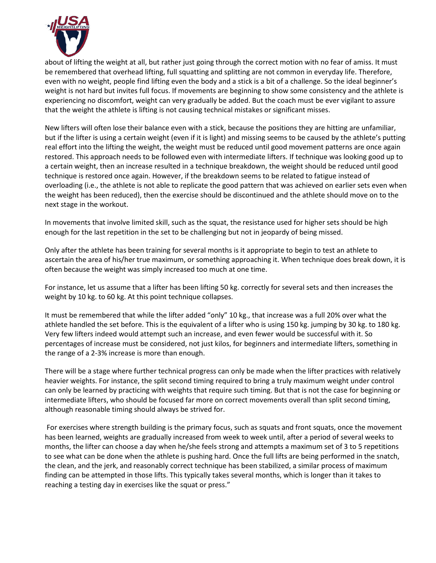

about of lifting the weight at all, but rather just going through the correct motion with no fear of amiss. It must be remembered that overhead lifting, full squatting and splitting are not common in everyday life. Therefore, even with no weight, people find lifting even the body and a stick is a bit of a challenge. So the ideal beginner's weight is not hard but invites full focus. If movements are beginning to show some consistency and the athlete is experiencing no discomfort, weight can very gradually be added. But the coach must be ever vigilant to assure that the weight the athlete is lifting is not causing technical mistakes or significant misses.

New lifters will often lose their balance even with a stick, because the positions they are hitting are unfamiliar, but if the lifter is using a certain weight (even if it is light) and missing seems to be caused by the athlete's putting real effort into the lifting the weight, the weight must be reduced until good movement patterns are once again restored. This approach needs to be followed even with intermediate lifters. If technique was looking good up to a certain weight, then an increase resulted in a technique breakdown, the weight should be reduced until good technique is restored once again. However, if the breakdown seems to be related to fatigue instead of overloading (i.e., the athlete is not able to replicate the good pattern that was achieved on earlier sets even when the weight has been reduced), then the exercise should be discontinued and the athlete should move on to the next stage in the workout.

In movements that involve limited skill, such as the squat, the resistance used for higher sets should be high enough for the last repetition in the set to be challenging but not in jeopardy of being missed.

Only after the athlete has been training for several months is it appropriate to begin to test an athlete to ascertain the area of his/her true maximum, or something approaching it. When technique does break down, it is often because the weight was simply increased too much at one time.

For instance, let us assume that a lifter has been lifting 50 kg. correctly for several sets and then increases the weight by 10 kg. to 60 kg. At this point technique collapses.

It must be remembered that while the lifter added "only" 10 kg., that increase was a full 20% over what the athlete handled the set before. This is the equivalent of a lifter who is using 150 kg. jumping by 30 kg. to 180 kg. Very few lifters indeed would attempt such an increase, and even fewer would be successful with it. So percentages of increase must be considered, not just kilos, for beginners and intermediate lifters, something in the range of a 2-3% increase is more than enough.

There will be a stage where further technical progress can only be made when the lifter practices with relatively heavier weights. For instance, the split second timing required to bring a truly maximum weight under control can only be learned by practicing with weights that require such timing. But that is not the case for beginning or intermediate lifters, who should be focused far more on correct movements overall than split second timing, although reasonable timing should always be strived for.

For exercises where strength building is the primary focus, such as squats and front squats, once the movement has been learned, weights are gradually increased from week to week until, after a period of several weeks to months, the lifter can choose a day when he/she feels strong and attempts a maximum set of 3 to 5 repetitions to see what can be done when the athlete is pushing hard. Once the full lifts are being performed in the snatch, the clean, and the jerk, and reasonably correct technique has been stabilized, a similar process of maximum finding can be attempted in those lifts. This typically takes several months, which is longer than it takes to reaching a testing day in exercises like the squat or press."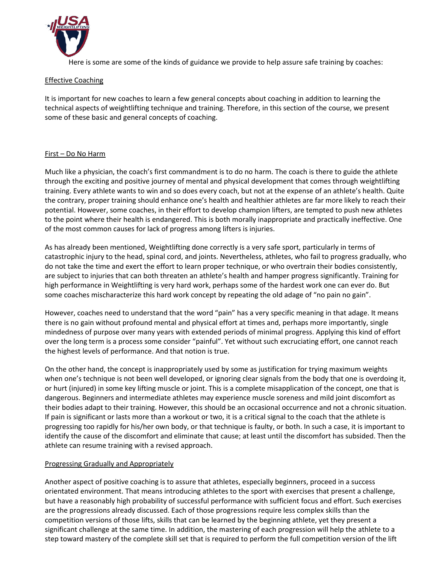

Here is some are some of the kinds of guidance we provide to help assure safe training by coaches:

#### Effective Coaching

It is important for new coaches to learn a few general concepts about coaching in addition to learning the technical aspects of weightlifting technique and training. Therefore, in this section of the course, we present some of these basic and general concepts of coaching.

#### First – Do No Harm

Much like a physician, the coach's first commandment is to do no harm. The coach is there to guide the athlete through the exciting and positive journey of mental and physical development that comes through weightlifting training. Every athlete wants to win and so does every coach, but not at the expense of an athlete's health. Quite the contrary, proper training should enhance one's health and healthier athletes are far more likely to reach their potential. However, some coaches, in their effort to develop champion lifters, are tempted to push new athletes to the point where their health is endangered. This is both morally inappropriate and practically ineffective. One of the most common causes for lack of progress among lifters is injuries.

As has already been mentioned, Weightlifting done correctly is a very safe sport, particularly in terms of catastrophic injury to the head, spinal cord, and joints. Nevertheless, athletes, who fail to progress gradually, who do not take the time and exert the effort to learn proper technique, or who overtrain their bodies consistently, are subject to injuries that can both threaten an athlete's health and hamper progress significantly. Training for high performance in Weightlifting is very hard work, perhaps some of the hardest work one can ever do. But some coaches mischaracterize this hard work concept by repeating the old adage of "no pain no gain".

However, coaches need to understand that the word "pain" has a very specific meaning in that adage. It means there is no gain without profound mental and physical effort at times and, perhaps more importantly, single mindedness of purpose over many years with extended periods of minimal progress. Applying this kind of effort over the long term is a process some consider "painful". Yet without such excruciating effort, one cannot reach the highest levels of performance. And that notion is true.

On the other hand, the concept is inappropriately used by some as justification for trying maximum weights when one's technique is not been well developed, or ignoring clear signals from the body that one is overdoing it, or hurt (injured) in some key lifting muscle or joint. This is a complete misapplication of the concept, one that is dangerous. Beginners and intermediate athletes may experience muscle soreness and mild joint discomfort as their bodies adapt to their training. However, this should be an occasional occurrence and not a chronic situation. If pain is significant or lasts more than a workout or two, it is a critical signal to the coach that the athlete is progressing too rapidly for his/her own body, or that technique is faulty, or both. In such a case, it is important to identify the cause of the discomfort and eliminate that cause; at least until the discomfort has subsided. Then the athlete can resume training with a revised approach.

#### Progressing Gradually and Appropriately

Another aspect of positive coaching is to assure that athletes, especially beginners, proceed in a success orientated environment. That means introducing athletes to the sport with exercises that present a challenge, but have a reasonably high probability of successful performance with sufficient focus and effort. Such exercises are the progressions already discussed. Each of those progressions require less complex skills than the competition versions of those lifts, skills that can be learned by the beginning athlete, yet they present a significant challenge at the same time. In addition, the mastering of each progression will help the athlete to a step toward mastery of the complete skill set that is required to perform the full competition version of the lift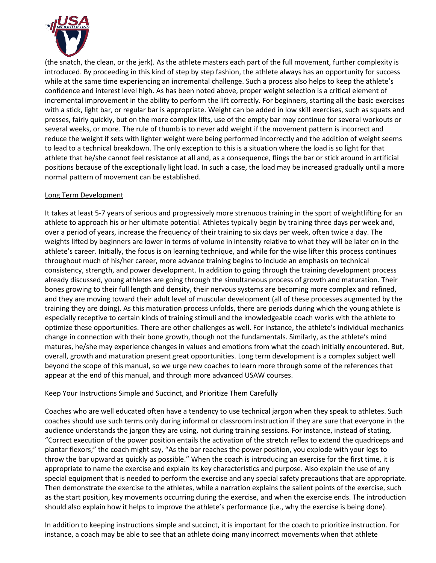

(the snatch, the clean, or the jerk). As the athlete masters each part of the full movement, further complexity is introduced. By proceeding in this kind of step by step fashion, the athlete always has an opportunity for success while at the same time experiencing an incremental challenge. Such a process also helps to keep the athlete's confidence and interest level high. As has been noted above, proper weight selection is a critical element of incremental improvement in the ability to perform the lift correctly. For beginners, starting all the basic exercises with a stick, light bar, or regular bar is appropriate. Weight can be added in low skill exercises, such as squats and presses, fairly quickly, but on the more complex lifts, use of the empty bar may continue for several workouts or several weeks, or more. The rule of thumb is to never add weight if the movement pattern is incorrect and reduce the weight if sets with lighter weight were being performed incorrectly and the addition of weight seems to lead to a technical breakdown. The only exception to this is a situation where the load is so light for that athlete that he/she cannot feel resistance at all and, as a consequence, flings the bar or stick around in artificial positions because of the exceptionally light load. In such a case, the load may be increased gradually until a more normal pattern of movement can be established.

#### Long Term Development

It takes at least 5-7 years of serious and progressively more strenuous training in the sport of weightlifting for an athlete to approach his or her ultimate potential. Athletes typically begin by training three days per week and, over a period of years, increase the frequency of their training to six days per week, often twice a day. The weights lifted by beginners are lower in terms of volume in intensity relative to what they will be later on in the athlete's career. Initially, the focus is on learning technique, and while for the wise lifter this process continues throughout much of his/her career, more advance training begins to include an emphasis on technical consistency, strength, and power development. In addition to going through the training development process already discussed, young athletes are going through the simultaneous process of growth and maturation. Their bones growing to their full length and density, their nervous systems are becoming more complex and refined, and they are moving toward their adult level of muscular development (all of these processes augmented by the training they are doing). As this maturation process unfolds, there are periods during which the young athlete is especially receptive to certain kinds of training stimuli and the knowledgeable coach works with the athlete to optimize these opportunities. There are other challenges as well. For instance, the athlete's individual mechanics change in connection with their bone growth, though not the fundamentals. Similarly, as the athlete's mind matures, he/she may experience changes in values and emotions from what the coach initially encountered. But, overall, growth and maturation present great opportunities. Long term development is a complex subject well beyond the scope of this manual, so we urge new coaches to learn more through some of the references that appear at the end of this manual, and through more advanced USAW courses.

#### Keep Your Instructions Simple and Succinct, and Prioritize Them Carefully

Coaches who are well educated often have a tendency to use technical jargon when they speak to athletes. Such coaches should use such terms only during informal or classroom instruction if they are sure that everyone in the audience understands the jargon they are using, not during training sessions. For instance, instead of stating, "Correct execution of the power position entails the activation of the stretch reflex to extend the quadriceps and plantar flexors;" the coach might say, "As the bar reaches the power position, you explode with your legs to throw the bar upward as quickly as possible." When the coach is introducing an exercise for the first time, it is appropriate to name the exercise and explain its key characteristics and purpose. Also explain the use of any special equipment that is needed to perform the exercise and any special safety precautions that are appropriate. Then demonstrate the exercise to the athletes, while a narration explains the salient points of the exercise, such as the start position, key movements occurring during the exercise, and when the exercise ends. The introduction should also explain how it helps to improve the athlete's performance (i.e., why the exercise is being done).

In addition to keeping instructions simple and succinct, it is important for the coach to prioritize instruction. For instance, a coach may be able to see that an athlete doing many incorrect movements when that athlete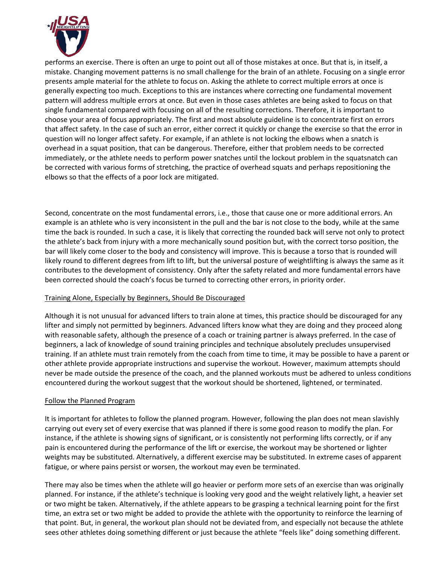

performs an exercise. There is often an urge to point out all of those mistakes at once. But that is, in itself, a mistake. Changing movement patterns is no small challenge for the brain of an athlete. Focusing on a single error presents ample material for the athlete to focus on. Asking the athlete to correct multiple errors at once is generally expecting too much. Exceptions to this are instances where correcting one fundamental movement pattern will address multiple errors at once. But even in those cases athletes are being asked to focus on that single fundamental compared with focusing on all of the resulting corrections. Therefore, it is important to choose your area of focus appropriately. The first and most absolute guideline is to concentrate first on errors that affect safety. In the case of such an error, either correct it quickly or change the exercise so that the error in question will no longer affect safety. For example, if an athlete is not locking the elbows when a snatch is overhead in a squat position, that can be dangerous. Therefore, either that problem needs to be corrected immediately, or the athlete needs to perform power snatches until the lockout problem in the squatsnatch can be corrected with various forms of stretching, the practice of overhead squats and perhaps repositioning the elbows so that the effects of a poor lock are mitigated.

Second, concentrate on the most fundamental errors, i.e., those that cause one or more additional errors. An example is an athlete who is very inconsistent in the pull and the bar is not close to the body, while at the same time the back is rounded. In such a case, it is likely that correcting the rounded back will serve not only to protect the athlete's back from injury with a more mechanically sound position but, with the correct torso position, the bar will likely come closer to the body and consistency will improve. This is because a torso that is rounded will likely round to different degrees from lift to lift, but the universal posture of weightlifting is always the same as it contributes to the development of consistency. Only after the safety related and more fundamental errors have been corrected should the coach's focus be turned to correcting other errors, in priority order.

#### Training Alone, Especially by Beginners, Should Be Discouraged

Although it is not unusual for advanced lifters to train alone at times, this practice should be discouraged for any lifter and simply not permitted by beginners. Advanced lifters know what they are doing and they proceed along with reasonable safety, although the presence of a coach or training partner is always preferred. In the case of beginners, a lack of knowledge of sound training principles and technique absolutely precludes unsupervised training. If an athlete must train remotely from the coach from time to time, it may be possible to have a parent or other athlete provide appropriate instructions and supervise the workout. However, maximum attempts should never be made outside the presence of the coach, and the planned workouts must be adhered to unless conditions encountered during the workout suggest that the workout should be shortened, lightened, or terminated.

#### Follow the Planned Program

It is important for athletes to follow the planned program. However, following the plan does not mean slavishly carrying out every set of every exercise that was planned if there is some good reason to modify the plan. For instance, if the athlete is showing signs of significant, or is consistently not performing lifts correctly, or if any pain is encountered during the performance of the lift or exercise, the workout may be shortened or lighter weights may be substituted. Alternatively, a different exercise may be substituted. In extreme cases of apparent fatigue, or where pains persist or worsen, the workout may even be terminated.

There may also be times when the athlete will go heavier or perform more sets of an exercise than was originally planned. For instance, if the athlete's technique is looking very good and the weight relatively light, a heavier set or two might be taken. Alternatively, if the athlete appears to be grasping a technical learning point for the first time, an extra set or two might be added to provide the athlete with the opportunity to reinforce the learning of that point. But, in general, the workout plan should not be deviated from, and especially not because the athlete sees other athletes doing something different or just because the athlete "feels like" doing something different.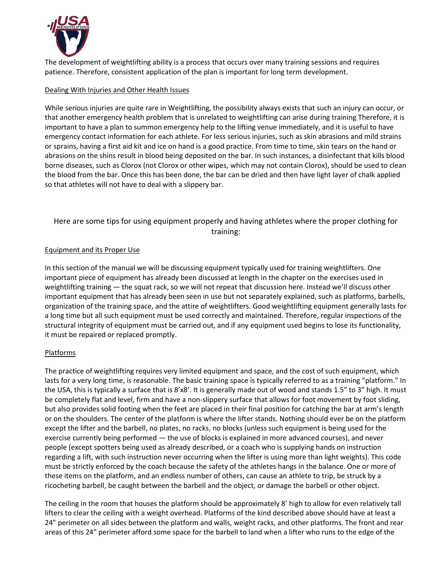

The development of weightlifting ability is a process that occurs over many training sessions and requires patience. Therefore, consistent application of the plan is important for long term development.

### Dealing With Injuries and Other Health Issues

While serious injuries are quite rare in Weightlifting, the possibility always exists that such an injury can occur, or that another emergency health problem that is unrelated to weightlifting can arise during training Therefore, it is important to have a plan to summon emergency help to the lifting venue immediately, and it is useful to have emergency contact information for each athlete. For less serious injuries, such as skin abrasions and mild strains or sprains, having a first aid kit and ice on hand is a good practice. From time to time, skin tears on the hand or abrasions on the shins result in blood being deposited on the bar. In such instances, a disinfectant that kills blood borne diseases, such as Clorox (not Clorox or other wipes, which may not contain Clorox), should be used to clean the blood from the bar. Once this has been done, the bar can be dried and then have light layer of chalk applied so that athletes will not have to deal with a slippery bar.

# Here are some tips for using equipment properly and having athletes where the proper clothing for training:

#### Equipment and its Proper Use

In this section of the manual we will be discussing equipment typically used for training weightlifters. One important piece of equipment has already been discussed at length in the chapter on the exercises used in weightlifting training — the squat rack, so we will not repeat that discussion here. Instead we'll discuss other important equipment that has already been seen in use but not separately explained, such as platforms, barbells, organization of the training space, and the attire of weightlifters. Good weightlifting equipment generally lasts for a long time but all such equipment must be used correctly and maintained. Therefore, regular inspections of the structural integrity of equipment must be carried out, and if any equipment used begins to lose its functionality, it must be repaired or replaced promptly.

### Platforms

The practice of weightlifting requires very limited equipment and space, and the cost of such equipment, which lasts for a very long time, is reasonable. The basic training space is typically referred to as a training "platform." In the USA, this is typically a surface that is 8'x8'. It is generally made out of wood and stands 1.5" to 3" high. It must be completely flat and level, firm and have a non-slippery surface that allows for foot movement by foot sliding, but also provides solid footing when the feet are placed in their final position for catching the bar at arm's length or on the shoulders. The center of the platform is where the lifter stands. Nothing should ever be on the platform except the lifter and the barbell, no plates, no racks, no blocks (unless such equipment is being used for the exercise currently being performed — the use of blocks is explained in more advanced courses), and never people (except spotters being used as already described, or a coach who is supplying hands on instruction regarding a lift, with such instruction never occurring when the lifter is using more than light weights). This code must be strictly enforced by the coach because the safety of the athletes hangs in the balance. One or more of these items on the platform, and an endless number of others, can cause an athlete to trip, be struck by a ricocheting barbell, be caught between the barbell and the object, or damage the barbell or other object.

The ceiling in the room that houses the platform should be approximately 8' high to allow for even relatively tall lifters to clear the ceiling with a weight overhead. Platforms of the kind described above should have at least a 24" perimeter on all sides between the platform and walls, weight racks, and other platforms. The front and rear areas of this 24" perimeter afford some space for the barbell to land when a lifter who runs to the edge of the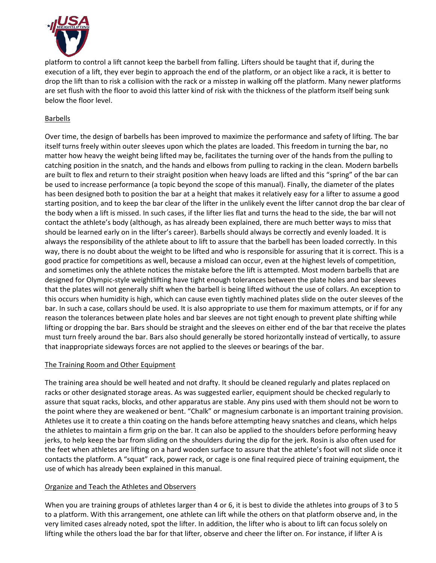

platform to control a lift cannot keep the barbell from falling. Lifters should be taught that if, during the execution of a lift, they ever begin to approach the end of the platform, or an object like a rack, it is better to drop the lift than to risk a collision with the rack or a misstep in walking off the platform. Many newer platforms are set flush with the floor to avoid this latter kind of risk with the thickness of the platform itself being sunk below the floor level.

### Barbells

Over time, the design of barbells has been improved to maximize the performance and safety of lifting. The bar itself turns freely within outer sleeves upon which the plates are loaded. This freedom in turning the bar, no matter how heavy the weight being lifted may be, facilitates the turning over of the hands from the pulling to catching position in the snatch, and the hands and elbows from pulling to racking in the clean. Modern barbells are built to flex and return to their straight position when heavy loads are lifted and this "spring" of the bar can be used to increase performance (a topic beyond the scope of this manual). Finally, the diameter of the plates has been designed both to position the bar at a height that makes it relatively easy for a lifter to assume a good starting position, and to keep the bar clear of the lifter in the unlikely event the lifter cannot drop the bar clear of the body when a lift is missed. In such cases, if the lifter lies flat and turns the head to the side, the bar will not contact the athlete's body (although, as has already been explained, there are much better ways to miss that should be learned early on in the lifter's career). Barbells should always be correctly and evenly loaded. It is always the responsibility of the athlete about to lift to assure that the barbell has been loaded correctly. In this way, there is no doubt about the weight to be lifted and who is responsible for assuring that it is correct. This is a good practice for competitions as well, because a misload can occur, even at the highest levels of competition, and sometimes only the athlete notices the mistake before the lift is attempted. Most modern barbells that are designed for Olympic-style weightlifting have tight enough tolerances between the plate holes and bar sleeves that the plates will not generally shift when the barbell is being lifted without the use of collars. An exception to this occurs when humidity is high, which can cause even tightly machined plates slide on the outer sleeves of the bar. In such a case, collars should be used. It is also appropriate to use them for maximum attempts, or if for any reason the tolerances between plate holes and bar sleeves are not tight enough to prevent plate shifting while lifting or dropping the bar. Bars should be straight and the sleeves on either end of the bar that receive the plates must turn freely around the bar. Bars also should generally be stored horizontally instead of vertically, to assure that inappropriate sideways forces are not applied to the sleeves or bearings of the bar.

### The Training Room and Other Equipment

The training area should be well heated and not drafty. It should be cleaned regularly and plates replaced on racks or other designated storage areas. As was suggested earlier, equipment should be checked regularly to assure that squat racks, blocks, and other apparatus are stable. Any pins used with them should not be worn to the point where they are weakened or bent. "Chalk" or magnesium carbonate is an important training provision. Athletes use it to create a thin coating on the hands before attempting heavy snatches and cleans, which helps the athletes to maintain a firm grip on the bar. It can also be applied to the shoulders before performing heavy jerks, to help keep the bar from sliding on the shoulders during the dip for the jerk. Rosin is also often used for the feet when athletes are lifting on a hard wooden surface to assure that the athlete's foot will not slide once it contacts the platform. A "squat" rack, power rack, or cage is one final required piece of training equipment, the use of which has already been explained in this manual.

### Organize and Teach the Athletes and Observers

When you are training groups of athletes larger than 4 or 6, it is best to divide the athletes into groups of 3 to 5 to a platform. With this arrangement, one athlete can lift while the others on that platform observe and, in the very limited cases already noted, spot the lifter. In addition, the lifter who is about to lift can focus solely on lifting while the others load the bar for that lifter, observe and cheer the lifter on. For instance, if lifter A is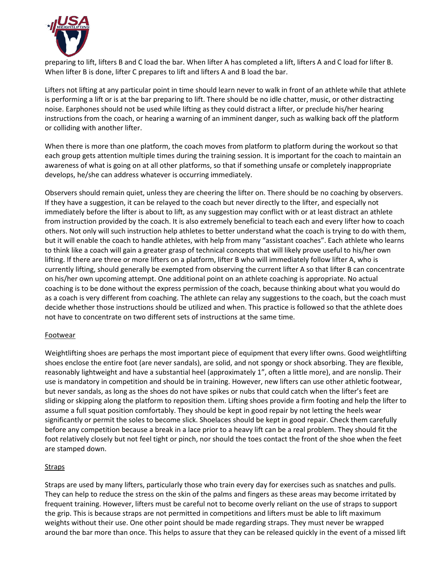

preparing to lift, lifters B and C load the bar. When lifter A has completed a lift, lifters A and C load for lifter B. When lifter B is done, lifter C prepares to lift and lifters A and B load the bar.

Lifters not lifting at any particular point in time should learn never to walk in front of an athlete while that athlete is performing a lift or is at the bar preparing to lift. There should be no idle chatter, music, or other distracting noise. Earphones should not be used while lifting as they could distract a lifter, or preclude his/her hearing instructions from the coach, or hearing a warning of an imminent danger, such as walking back off the platform or colliding with another lifter.

When there is more than one platform, the coach moves from platform to platform during the workout so that each group gets attention multiple times during the training session. It is important for the coach to maintain an awareness of what is going on at all other platforms, so that if something unsafe or completely inappropriate develops, he/she can address whatever is occurring immediately.

Observers should remain quiet, unless they are cheering the lifter on. There should be no coaching by observers. If they have a suggestion, it can be relayed to the coach but never directly to the lifter, and especially not immediately before the lifter is about to lift, as any suggestion may conflict with or at least distract an athlete from instruction provided by the coach. It is also extremely beneficial to teach each and every lifter how to coach others. Not only will such instruction help athletes to better understand what the coach is trying to do with them, but it will enable the coach to handle athletes, with help from many "assistant coaches". Each athlete who learns to think like a coach will gain a greater grasp of technical concepts that will likely prove useful to his/her own lifting. If there are three or more lifters on a platform, lifter B who will immediately follow lifter A, who is currently lifting, should generally be exempted from observing the current lifter A so that lifter B can concentrate on his/her own upcoming attempt. One additional point on an athlete coaching is appropriate. No actual coaching is to be done without the express permission of the coach, because thinking about what you would do as a coach is very different from coaching. The athlete can relay any suggestions to the coach, but the coach must decide whether those instructions should be utilized and when. This practice is followed so that the athlete does not have to concentrate on two different sets of instructions at the same time.

#### Footwear

Weightlifting shoes are perhaps the most important piece of equipment that every lifter owns. Good weightlifting shoes enclose the entire foot (are never sandals), are solid, and not spongy or shock absorbing. They are flexible, reasonably lightweight and have a substantial heel (approximately 1", often a little more), and are nonslip. Their use is mandatory in competition and should be in training. However, new lifters can use other athletic footwear, but never sandals, as long as the shoes do not have spikes or nubs that could catch when the lifter's feet are sliding or skipping along the platform to reposition them. Lifting shoes provide a firm footing and help the lifter to assume a full squat position comfortably. They should be kept in good repair by not letting the heels wear significantly or permit the soles to become slick. Shoelaces should be kept in good repair. Check them carefully before any competition because a break in a lace prior to a heavy lift can be a real problem. They should fit the foot relatively closely but not feel tight or pinch, nor should the toes contact the front of the shoe when the feet are stamped down.

#### Straps

Straps are used by many lifters, particularly those who train every day for exercises such as snatches and pulls. They can help to reduce the stress on the skin of the palms and fingers as these areas may become irritated by frequent training. However, lifters must be careful not to become overly reliant on the use of straps to support the grip. This is because straps are not permitted in competitions and lifters must be able to lift maximum weights without their use. One other point should be made regarding straps. They must never be wrapped around the bar more than once. This helps to assure that they can be released quickly in the event of a missed lift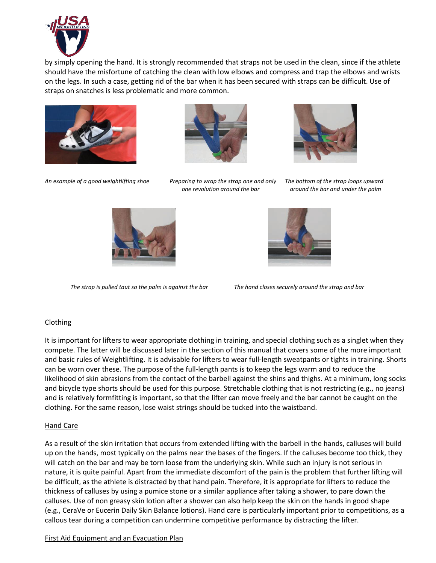

by simply opening the hand. It is strongly recommended that straps not be used in the clean, since if the athlete should have the misfortune of catching the clean with low elbows and compress and trap the elbows and wrists on the legs. In such a case, getting rid of the bar when it has been secured with straps can be difficult. Use of straps on snatches is less problematic and more common.







*An example of a good weightlifting shoe Preparing to wrap the strap one and only The bottom of the strap loops upward*

 *one revolution around the bar around the bar and under the palm*



*The strap is pulled taut so the palm is against the bar The hand closes securely around the strap and bar*



# Clothing

It is important for lifters to wear appropriate clothing in training, and special clothing such as a singlet when they compete. The latter will be discussed later in the section of this manual that covers some of the more important and basic rules of Weightlifting. It is advisable for lifters to wear full-length sweatpants or tights in training. Shorts can be worn over these. The purpose of the full-length pants is to keep the legs warm and to reduce the likelihood of skin abrasions from the contact of the barbell against the shins and thighs. At a minimum, long socks and bicycle type shorts should be used for this purpose. Stretchable clothing that is not restricting (e.g., no jeans) and is relatively formfitting is important, so that the lifter can move freely and the bar cannot be caught on the clothing. For the same reason, lose waist strings should be tucked into the waistband.

### Hand Care

As a result of the skin irritation that occurs from extended lifting with the barbell in the hands, calluses will build up on the hands, most typically on the palms near the bases of the fingers. If the calluses become too thick, they will catch on the bar and may be torn loose from the underlying skin. While such an injury is not serious in nature, it is quite painful. Apart from the immediate discomfort of the pain is the problem that further lifting will be difficult, as the athlete is distracted by that hand pain. Therefore, it is appropriate for lifters to reduce the thickness of calluses by using a pumice stone or a similar appliance after taking a shower, to pare down the calluses. Use of non greasy skin lotion after a shower can also help keep the skin on the hands in good shape (e.g., CeraVe or Eucerin Daily Skin Balance lotions). Hand care is particularly important prior to competitions, as a callous tear during a competition can undermine competitive performance by distracting the lifter.

### First Aid Equipment and an Evacuation Plan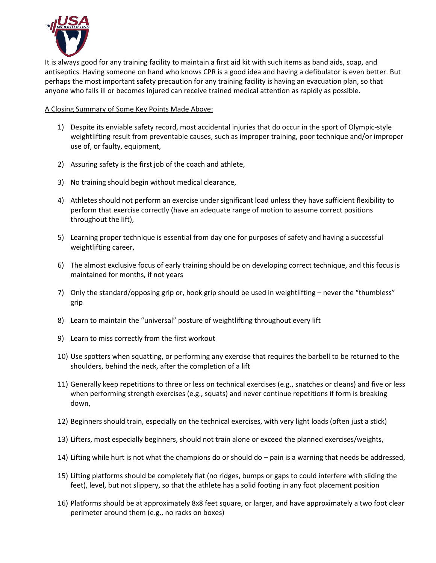

It is always good for any training facility to maintain a first aid kit with such items as band aids, soap, and antiseptics. Having someone on hand who knows CPR is a good idea and having a defibulator is even better. But perhaps the most important safety precaution for any training facility is having an evacuation plan, so that anyone who falls ill or becomes injured can receive trained medical attention as rapidly as possible.

A Closing Summary of Some Key Points Made Above:

- 1) Despite its enviable safety record, most accidental injuries that do occur in the sport of Olympic-style weightlifting result from preventable causes, such as improper training, poor technique and/or improper use of, or faulty, equipment,
- 2) Assuring safety is the first job of the coach and athlete,
- 3) No training should begin without medical clearance,
- 4) Athletes should not perform an exercise under significant load unless they have sufficient flexibility to perform that exercise correctly (have an adequate range of motion to assume correct positions throughout the lift),
- 5) Learning proper technique is essential from day one for purposes of safety and having a successful weightlifting career,
- 6) The almost exclusive focus of early training should be on developing correct technique, and this focus is maintained for months, if not years
- 7) Only the standard/opposing grip or, hook grip should be used in weightlifting never the "thumbless" grip
- 8) Learn to maintain the "universal" posture of weightlifting throughout every lift
- 9) Learn to miss correctly from the first workout
- 10) Use spotters when squatting, or performing any exercise that requires the barbell to be returned to the shoulders, behind the neck, after the completion of a lift
- 11) Generally keep repetitions to three or less on technical exercises (e.g., snatches or cleans) and five or less when performing strength exercises (e.g., squats) and never continue repetitions if form is breaking down,
- 12) Beginners should train, especially on the technical exercises, with very light loads (often just a stick)
- 13) Lifters, most especially beginners, should not train alone or exceed the planned exercises/weights,
- 14) Lifting while hurt is not what the champions do or should do pain is a warning that needs be addressed,
- 15) Lifting platforms should be completely flat (no ridges, bumps or gaps to could interfere with sliding the feet), level, but not slippery, so that the athlete has a solid footing in any foot placement position
- 16) Platforms should be at approximately 8x8 feet square, or larger, and have approximately a two foot clear perimeter around them (e.g., no racks on boxes)